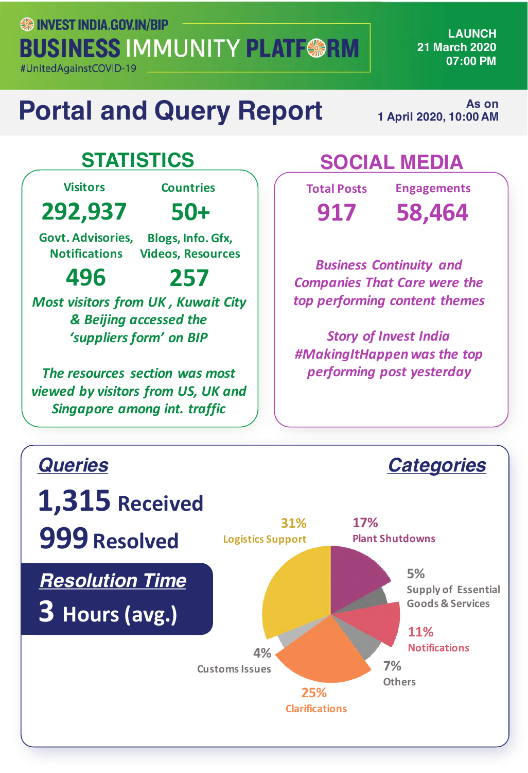**SO INVEST INDIA GOV.IN/BIP BUSINESS IMMUNITY PLATF@RM** 

#UnitedAgainstCOVID-19

**LAUNCH 21 March 2020 07:00 PM**

## **Portal and Query Report**

**As on 1 April 2020, 10:00 AM** 

**Visitors 292,937 Countries 50+** Govt. Advisories, **Notifications Blogs, Info. Gfx, Videos, Resources**

**496 257** *Most visitors from UK, Kuwait City & Beijing accessed the 'suppliers form' on BIP*

*The resources section was most viewed by visitors from US, UK and Singapore among int. traffic*

### **STATISTICS SOCIAL MEDIA**

**Total Posts 917**

**Engagements 58,464**

*Business Continuity and*  **Companies That Care were the** *top performing content themes*

**Story of Invest India** *#MakingItHappenwas the top performing post yesterday*

*Categories*

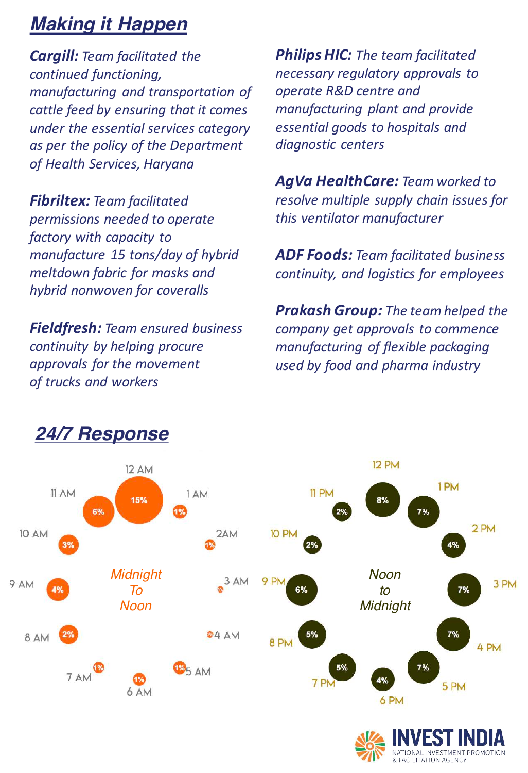#### *Making it Happen*

*Cargill: Team facilitated the continued functioning, manufacturing and transportation of*  cattle feed by ensuring that it comes *under the essential services category* as per the policy of the Department *of Health Services, Haryana*

**Fibriltex:** Team facilitated *permissions needed to operate factory* with capacity to *manufacture 15 tons/day of hybrid meltdown fabric for masks and hybrid nonwoven for coveralls*

**Fieldfresh: Team ensured business** *continuity by helping procure*  approvals for the movement *of trucks and workers*

**Philips HIC:** The team facilitated *necessary regulatory approvals to operate R&D centre and manufacturing plant and provide* **essential goods to hospitals and** *diagnostic centers*

**AgVa HealthCare:** Team worked to *resolve multiple supply chain issues for this ventilator manufacturer*

**ADF Foods:** Team facilitated business *continuity, and logistics for employees*

**Prakash Group:** The team helped the *company get approvals to commence manufacturing of flexible packaging used by food and pharma industry*



#### *24/7 Response*

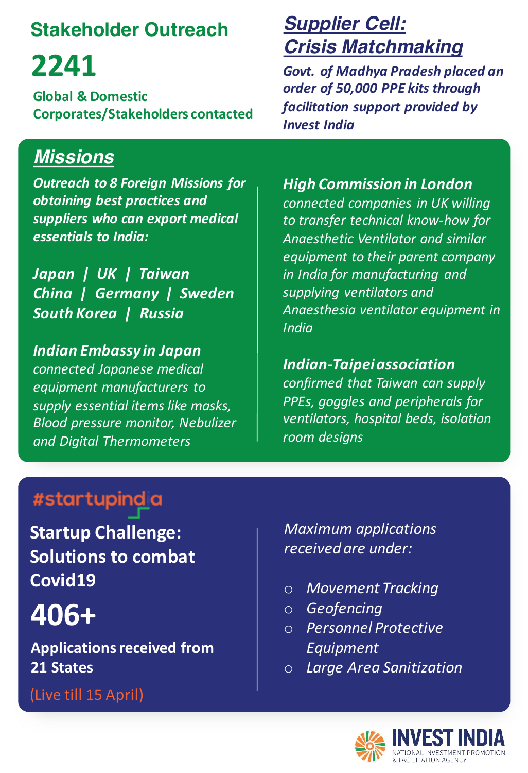#### **Stakeholder Outreach**

# **2241**

**Global & Domestic Corporates/Stakeholders contacted**

#### *Missions*

*Outreach to 8 Foreign Missions for obtaining best practices and* suppliers who can export medical *essentials to India:*

Japan | UK | Taiwan **China** | Germany | Sweden *South Korea | Russia*

*Indian Embassy in Japan connected Japanese medical equipment manufacturers to*  supply essential items like masks, *Blood pressure monitor, Nebulizer and Digital Thermometers*

#### *Supplier Cell: Crisis Matchmaking*

Govt. of Madhya Pradesh placed an order of 50,000 PPE kits through *facilitation support provided by Invest India*

#### **High Commission in London** connected companies in UK willing to transfer technical know-how for *Anaesthetic Ventilator and similar equipment to their parent company* in India for manufacturing and supplying ventilators and

*Anaesthesia ventilator equipment in India*

#### *Indian-Taipei association*

*confirmed that Taiwan can supply*  **PPEs, goggles and peripherals for** *ventilators, hospital beds, isolation room designs*

#### #startupindia

**Startup Challenge: Solutions to combat Covid19**

 $406+$  **Instrument indexing**<br>  $\begin{array}{c} \circ & \text{Moreover, if } \mathbb{R}^d \cup \mathbb{R}^d \cup \mathbb{R}^d \cup \mathbb{R}^d \cup \mathbb{R}^d \cup \mathbb{R}^d \cup \mathbb{R}^d \cup \mathbb{R}^d \cup \mathbb{R}^d \cup \mathbb{R}^d \cup \mathbb{R}^d \cup \mathbb{R}^d \cup \mathbb{R}^d \cup \mathbb{R}^d \cup \mathbb{R}^d \cup \mathbb{R}^d \cup \mathbb{R}^d \cup \mathbb{$ 

**Applications received from 21 States**

(Live till 15 April)

*Focaived* are under: *Product and and the product Maximum applications received are under:*

- *50,000 PPE kits through*  o *Movement Tracking*
- o *Geofencing*
- o *Personnel Protective Equipment*
- o *Large Area Sanitization*